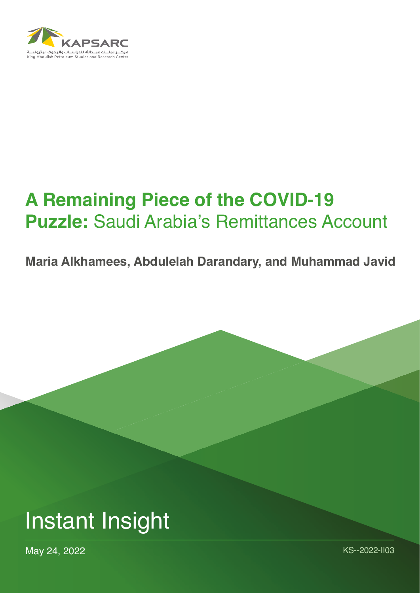

# **A Remaining Piece of the COVID-19 Puzzle:** Saudi Arabia's Remittances Account

**Maria Alkhamees, Abdulelah Darandary, and Muhammad Javid**



May 24, 2022 KS--2022-II03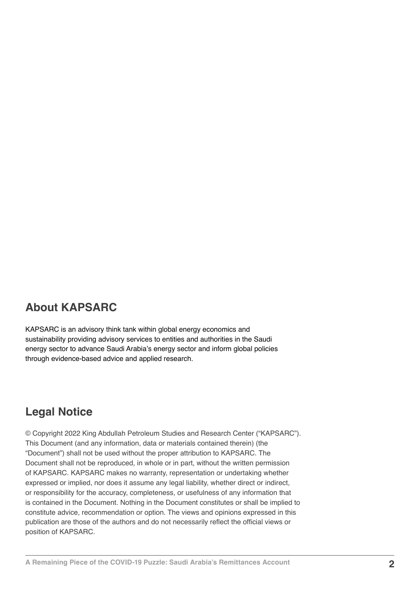#### **About KAPSARC**

KAPSARC is an advisory think tank within global energy economics and sustainability providing advisory services to entities and authorities in the Saudi energy sector to advance Saudi Arabia's energy sector and inform global policies through evidence-based advice and applied research.

#### **Legal Notice**

© Copyright 2022 King Abdullah Petroleum Studies and Research Center ("KAPSARC"). This Document (and any information, data or materials contained therein) (the "Document") shall not be used without the proper attribution to KAPSARC. The Document shall not be reproduced, in whole or in part, without the written permission of KAPSARC. KAPSARC makes no warranty, representation or undertaking whether expressed or implied, nor does it assume any legal liability, whether direct or indirect, or responsibility for the accuracy, completeness, or usefulness of any information that is contained in the Document. Nothing in the Document constitutes or shall be implied to constitute advice, recommendation or option. The views and opinions expressed in this publication are those of the authors and do not necessarily reflect the official views or position of KAPSARC.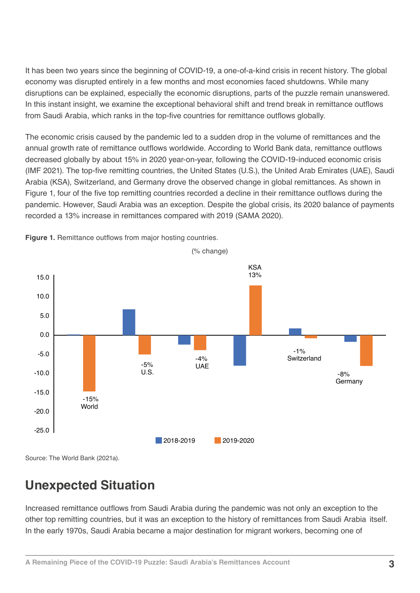It has been two years since the beginning of COVID-19, a one-of-a-kind crisis in recent history. The global economy was disrupted entirely in a few months and most economies faced shutdowns. While many disruptions can be explained, especially the economic disruptions, parts of the puzzle remain unanswered. In this instant insight, we examine the exceptional behavioral shift and trend break in remittance outflows from Saudi Arabia, which ranks in the top-five countries for remittance outflows globally.

The economic crisis caused by the pandemic led to a sudden drop in the volume of remittances and the annual growth rate of remittance outflows worldwide. According to World Bank data, remittance outflows decreased globally by about 15% in 2020 year-on-year, following the COVID-19-induced economic crisis (IMF 2021). The top-five remitting countries, the United States (U.S.), the United Arab Emirates (UAE), Saudi Arabia (KSA), Switzerland, and Germany drove the observed change in global remittances. As shown in Figure 1, four of the five top remitting countries recorded a decline in their remittance outflows during the pandemic. However, Saudi Arabia was an exception. Despite the global crisis, its 2020 balance of payments recorded a 13% increase in remittances compared with 2019 (SAMA 2020).



**Figure 1.** Remittance outflows from major hosting countries.

Source: The World Bank (2021a).

## **Unexpected Situation**

Increased remittance outflows from Saudi Arabia during the pandemic was not only an exception to the other top remitting countries, but it was an exception to the history of remittances from Saudi Arabia itself. In the early 1970s, Saudi Arabia became a major destination for migrant workers, becoming one of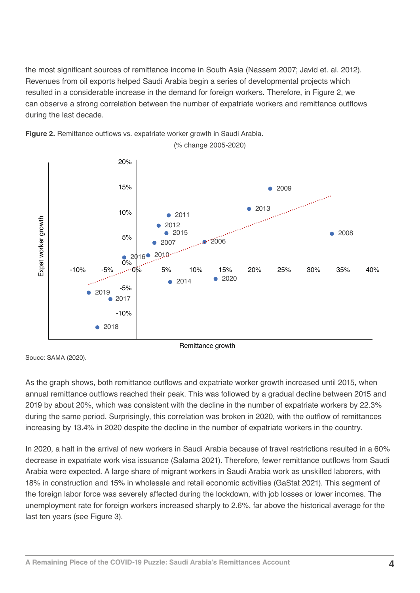the most significant sources of remittance income in South Asia (Nassem 2007; Javid et. al. 2012). Revenues from oil exports helped Saudi Arabia begin a series of developmental projects which resulted in a considerable increase in the demand for foreign workers. Therefore, in Figure 2, we can observe a strong correlation between the number of expatriate workers and remittance outflows during the last decade.



**Figure 2.** Remittance outflows vs. expatriate worker growth in Saudi Arabia.

Souce: SAMA (2020).

As the graph shows, both remittance outflows and expatriate worker growth increased until 2015, when annual remittance outflows reached their peak. This was followed by a gradual decline between 2015 and 2019 by about 20%, which was consistent with the decline in the number of expatriate workers by 22.3% during the same period. Surprisingly, this correlation was broken in 2020, with the outflow of remittances increasing by 13.4% in 2020 despite the decline in the number of expatriate workers in the country.

In 2020, a halt in the arrival of new workers in Saudi Arabia because of travel restrictions resulted in a 60% decrease in expatriate work visa issuance (Salama 2021). Therefore, fewer remittance outflows from Saudi Arabia were expected. A large share of migrant workers in Saudi Arabia work as unskilled laborers, with 18% in construction and 15% in wholesale and retail economic activities (GaStat 2021). This segment of the foreign labor force was severely affected during the lockdown, with job losses or lower incomes. The unemployment rate for foreign workers increased sharply to 2.6%, far above the historical average for the last ten years (see Figure 3).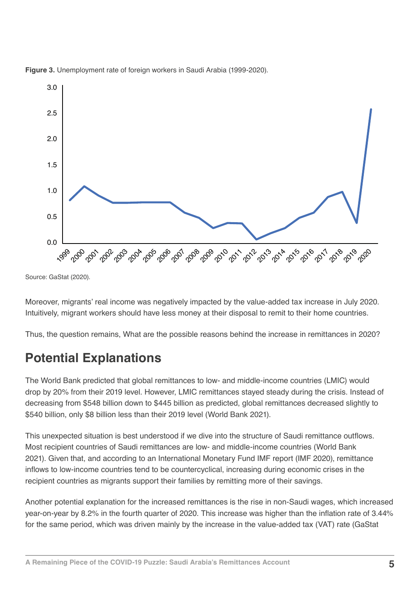



Moreover, migrants' real income was negatively impacted by the value-added tax increase in July 2020. Intuitively, migrant workers should have less money at their disposal to remit to their home countries.

Thus, the question remains, What are the possible reasons behind the increase in remittances in 2020?

## **Potential Explanations**

The World Bank predicted that global remittances to low- and middle-income countries (LMIC) would drop by 20% from their 2019 level. However, LMIC remittances stayed steady during the crisis. Instead of decreasing from \$548 billion down to \$445 billion as predicted, global remittances decreased slightly to \$540 billion, only \$8 billion less than their 2019 level (World Bank 2021).

This unexpected situation is best understood if we dive into the structure of Saudi remittance outflows. Most recipient countries of Saudi remittances are low- and middle-income countries (World Bank 2021). Given that, and according to an International Monetary Fund IMF report (IMF 2020), remittance inflows to low-income countries tend to be countercyclical, increasing during economic crises in the recipient countries as migrants support their families by remitting more of their savings.

Another potential explanation for the increased remittances is the rise in non-Saudi wages, which increased year-on-year by 8.2% in the fourth quarter of 2020. This increase was higher than the inflation rate of 3.44% for the same period, which was driven mainly by the increase in the value-added tax (VAT) rate (GaStat

Source: GaStat (2020).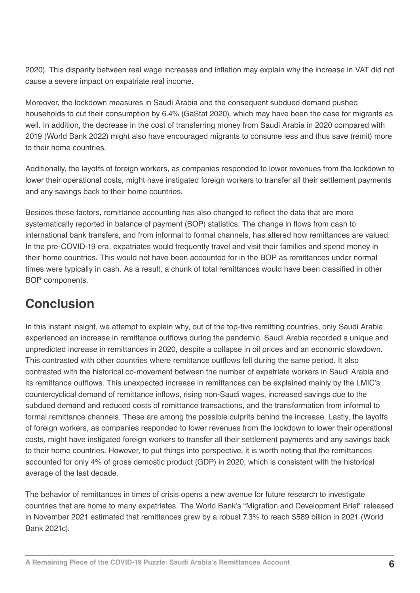2020). This disparity between real wage increases and inflation may explain why the increase in VAT did not cause a severe impact on expatriate real income.

Moreover, the lockdown measures in Saudi Arabia and the consequent subdued demand pushed households to cut their consumption by 6.4% (GaStat 2020), which may have been the case for migrants as well. In addition, the decrease in the cost of transferring money from Saudi Arabia in 2020 compared with 2019 (World Bank 2022) might also have encouraged migrants to consume less and thus save (remit) more to their home countries.

Additionally, the layoffs of foreign workers, as companies responded to lower revenues from the lockdown to lower their operational costs, might have instigated foreign workers to transfer all their settlement payments and any savings back to their home countries.

Besides these factors, remittance accounting has also changed to reflect the data that are more systematically reported in balance of payment (BOP) statistics. The change in flows from cash to international bank transfers, and from informal to formal channels, has altered how remittances are valued. In the pre-COVID-19 era, expatriates would frequently travel and visit their families and spend money in their home countries. This would not have been accounted for in the BOP as remittances under normal times were typically in cash. As a result, a chunk of total remittances would have been classified in other BOP components.

## **Conclusion**

In this instant insight, we attempt to explain why, out of the top-five remitting countries, only Saudi Arabia experienced an increase in remittance outflows during the pandemic. Saudi Arabia recorded a unique and unpredicted increase in remittances in 2020, despite a collapse in oil prices and an economic slowdown. This contrasted with other countries where remittance outflows fell during the same period. It also contrasted with the historical co-movement between the number of expatriate workers in Saudi Arabia and its remittance outflows. This unexpected increase in remittances can be explained mainly by the LMIC's countercyclical demand of remittance inflows, rising non-Saudi wages, increased savings due to the subdued demand and reduced costs of remittance transactions, and the transformation from informal to formal remittance channels. These are among the possible culprits behind the increase. Lastly, the layoffs of foreign workers, as companies responded to lower revenues from the lockdown to lower their operational costs, might have instigated foreign workers to transfer all their settlement payments and any savings back to their home countries. However, to put things into perspective, it is worth noting that the remittances accounted for only 4% of gross demostic product (GDP) in 2020, which is consistent with the historical average of the last decade.

The behavior of remittances in times of crisis opens a new avenue for future research to investigate countries that are home to many expatriates. The World Bank's "Migration and Development Brief" released in November 2021 estimated that remittances grew by a robust 7.3% to reach \$589 billion in 2021 (World Bank 2021c).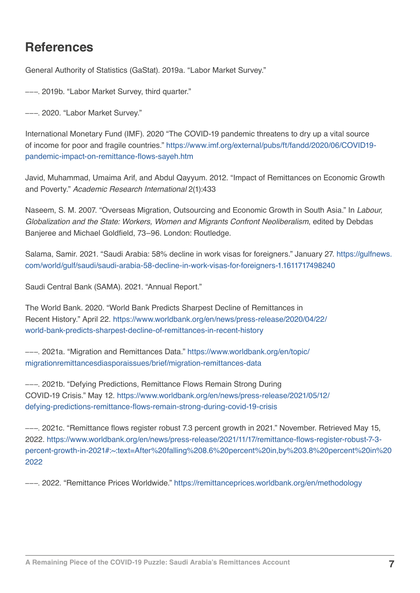#### **References**

General Authority of Statistics (GaStat). 2019a. "Labor Market Survey."

–––. 2019b. "Labor Market Survey, third quarter."

–––. 2020. "Labor Market Survey."

International Monetary Fund (IMF). 2020 "The COVID-19 pandemic threatens to dry up a vital source of income for poor and fragile countries." [https://www.imf.org/external/pubs/ft/fandd/2020/06/COVID19](https://www.imf.org/external/pubs/ft/fandd/2020/06/COVID19-pandemic-impact-on-remittance-flows-sayeh.htm) [pandemic-impact-on-remittance-flows-sayeh.htm](https://www.imf.org/external/pubs/ft/fandd/2020/06/COVID19-pandemic-impact-on-remittance-flows-sayeh.htm)

Javid, Muhammad, Umaima Arif, and Abdul Qayyum. 2012. "Impact of Remittances on Economic Growth and Poverty." *Academic Research International* 2(1):433

Naseem, S. M. 2007. "Overseas Migration, Outsourcing and Economic Growth in South Asia." In *Labour, Globalization and the State: Workers, Women and Migrants Confront Neoliberalism*, edited by Debdas Banjeree and Michael Goldfield, 73–96. London: Routledge.

Salama, Samir. 2021. "Saudi Arabia: 58% decline in work visas for foreigners." January 27. [https://gulfnews.](https://gulfnews.com/world/gulf/saudi/saudi-arabia-58-decline-in-work-visas-for-foreigners-1.1611717498240) [com/world/gulf/saudi/saudi-arabia-58-decline-in-work-visas-for-foreigners-1.1611717498240](https://gulfnews.com/world/gulf/saudi/saudi-arabia-58-decline-in-work-visas-for-foreigners-1.1611717498240)

Saudi Central Bank (SAMA). 2021. "Annual Report."

The World Bank. 2020. "World Bank Predicts Sharpest Decline of Remittances in Recent History." April 22. [https://www.worldbank.org/en/news/press-release/2020/04/22/](https://www.worldbank.org/en/news/press-release/2020/04/22/world-bank-predicts-sharpest-decline-of-remittances-in-recent-history) [world-bank-predicts-sharpest-decline-of-remittances-in-recent-history](https://www.worldbank.org/en/news/press-release/2020/04/22/world-bank-predicts-sharpest-decline-of-remittances-in-recent-history)

–––. 2021a. "Migration and Remittances Data." [https://www.worldbank.org/en/topic/](https://www.worldbank.org/en/topic/migrationremittancesdiasporaissues/brief/migration-remittances-data) [migrationremittancesdiasporaissues/brief/migration-remittances-data](https://www.worldbank.org/en/topic/migrationremittancesdiasporaissues/brief/migration-remittances-data)

–––. 2021b. "Defying Predictions, Remittance Flows Remain Strong During COVID-19 Crisis." May 12. [https://www.worldbank.org/en/news/press-release/2021/05/12/](https://www.worldbank.org/en/news/press-release/2021/05/12/defying-predictions-remittance-flows-remain-strong-during-covid-19-crisis) [defying-predictions-remittance-flows-remain-strong-during-covid-19-crisis](https://www.worldbank.org/en/news/press-release/2021/05/12/defying-predictions-remittance-flows-remain-strong-during-covid-19-crisis)

–––. 2021c. "Remittance flows register robust 7.3 percent growth in 2021." November. Retrieved May 15, 2022. [https://www.worldbank.org/en/news/press-release/2021/11/17/remittance-flows-register-robust-7-3](https://www.worldbank.org/en/news/press-release/2021/11/17/remittance-flows-register-robust-7-3-percent-growth-in-2021#:~:text=After%20falling%208.6%20percent%20in,by%203.8%20percent%20in%202022) [percent-growth-in-2021#:~:text=After%20falling%208.6%20percent%20in,by%203.8%20percent%20in%20](https://www.worldbank.org/en/news/press-release/2021/11/17/remittance-flows-register-robust-7-3-percent-growth-in-2021#:~:text=After%20falling%208.6%20percent%20in,by%203.8%20percent%20in%202022) [2022](https://www.worldbank.org/en/news/press-release/2021/11/17/remittance-flows-register-robust-7-3-percent-growth-in-2021#:~:text=After%20falling%208.6%20percent%20in,by%203.8%20percent%20in%202022)

–––. 2022. "Remittance Prices Worldwide." <https://remittanceprices.worldbank.org/en/methodology>